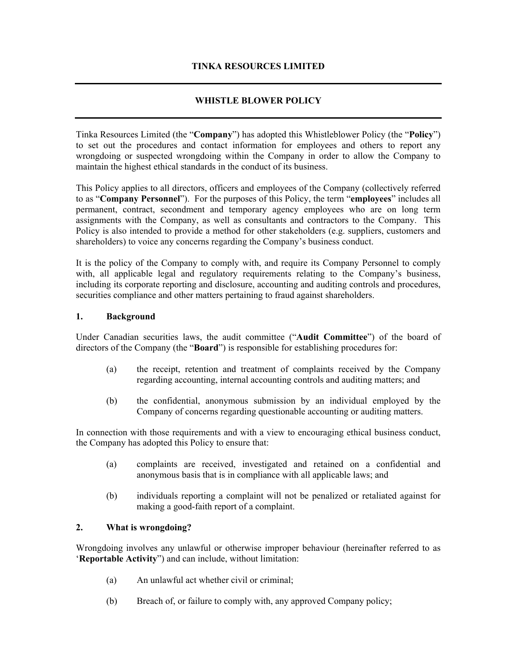### **TINKA RESOURCES LIMITED**

# **WHISTLE BLOWER POLICY**

Tinka Resources Limited (the "**Company**") has adopted this Whistleblower Policy (the "**Policy**") to set out the procedures and contact information for employees and others to report any wrongdoing or suspected wrongdoing within the Company in order to allow the Company to maintain the highest ethical standards in the conduct of its business.

This Policy applies to all directors, officers and employees of the Company (collectively referred to as "**Company Personnel**"). For the purposes of this Policy, the term "**employees**" includes all permanent, contract, secondment and temporary agency employees who are on long term assignments with the Company, as well as consultants and contractors to the Company. This Policy is also intended to provide a method for other stakeholders (e.g. suppliers, customers and shareholders) to voice any concerns regarding the Company's business conduct.

It is the policy of the Company to comply with, and require its Company Personnel to comply with, all applicable legal and regulatory requirements relating to the Company's business, including its corporate reporting and disclosure, accounting and auditing controls and procedures, securities compliance and other matters pertaining to fraud against shareholders.

#### **1. Background**

Under Canadian securities laws, the audit committee ("**Audit Committee**") of the board of directors of the Company (the "**Board**") is responsible for establishing procedures for:

- (a) the receipt, retention and treatment of complaints received by the Company regarding accounting, internal accounting controls and auditing matters; and
- (b) the confidential, anonymous submission by an individual employed by the Company of concerns regarding questionable accounting or auditing matters.

In connection with those requirements and with a view to encouraging ethical business conduct, the Company has adopted this Policy to ensure that:

- (a) complaints are received, investigated and retained on a confidential and anonymous basis that is in compliance with all applicable laws; and
- (b) individuals reporting a complaint will not be penalized or retaliated against for making a good-faith report of a complaint.

### **2. What is wrongdoing?**

Wrongdoing involves any unlawful or otherwise improper behaviour (hereinafter referred to as '**Reportable Activity**") and can include, without limitation:

- (a) An unlawful act whether civil or criminal;
- (b) Breach of, or failure to comply with, any approved Company policy;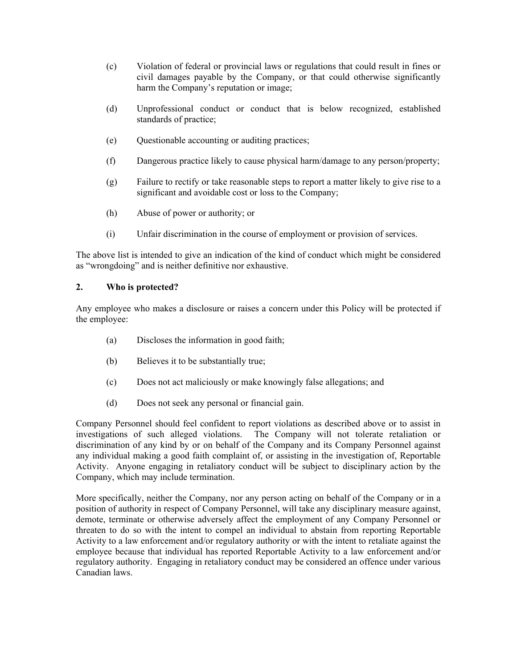- (c) Violation of federal or provincial laws or regulations that could result in fines or civil damages payable by the Company, or that could otherwise significantly harm the Company's reputation or image;
- (d) Unprofessional conduct or conduct that is below recognized, established standards of practice;
- (e) Questionable accounting or auditing practices;
- (f) Dangerous practice likely to cause physical harm/damage to any person/property;
- (g) Failure to rectify or take reasonable steps to report a matter likely to give rise to a significant and avoidable cost or loss to the Company;
- (h) Abuse of power or authority; or
- (i) Unfair discrimination in the course of employment or provision of services.

The above list is intended to give an indication of the kind of conduct which might be considered as "wrongdoing" and is neither definitive nor exhaustive.

### **2. Who is protected?**

Any employee who makes a disclosure or raises a concern under this Policy will be protected if the employee:

- (a) Discloses the information in good faith;
- (b) Believes it to be substantially true;
- (c) Does not act maliciously or make knowingly false allegations; and
- (d) Does not seek any personal or financial gain.

Company Personnel should feel confident to report violations as described above or to assist in investigations of such alleged violations. The Company will not tolerate retaliation or discrimination of any kind by or on behalf of the Company and its Company Personnel against any individual making a good faith complaint of, or assisting in the investigation of, Reportable Activity. Anyone engaging in retaliatory conduct will be subject to disciplinary action by the Company, which may include termination.

More specifically, neither the Company, nor any person acting on behalf of the Company or in a position of authority in respect of Company Personnel, will take any disciplinary measure against, demote, terminate or otherwise adversely affect the employment of any Company Personnel or threaten to do so with the intent to compel an individual to abstain from reporting Reportable Activity to a law enforcement and/or regulatory authority or with the intent to retaliate against the employee because that individual has reported Reportable Activity to a law enforcement and/or regulatory authority. Engaging in retaliatory conduct may be considered an offence under various Canadian laws.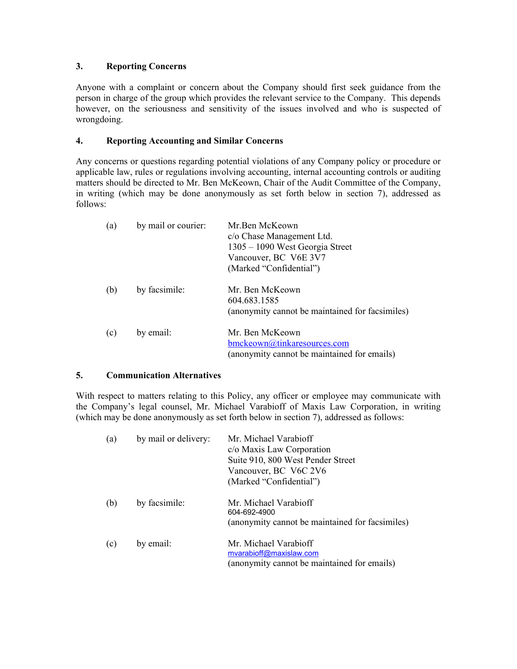### **3. Reporting Concerns**

Anyone with a complaint or concern about the Company should first seek guidance from the person in charge of the group which provides the relevant service to the Company. This depends however, on the seriousness and sensitivity of the issues involved and who is suspected of wrongdoing.

### **4. Reporting Accounting and Similar Concerns**

Any concerns or questions regarding potential violations of any Company policy or procedure or applicable law, rules or regulations involving accounting, internal accounting controls or auditing matters should be directed to Mr. Ben McKeown, Chair of the Audit Committee of the Company, in writing (which may be done anonymously as set forth below in section 7), addressed as follows:

| (a) | by mail or courier: | Mr.Ben McKeown<br>c/o Chase Management Ltd.<br>1305 – 1090 West Georgia Street<br>Vancouver, BC V6E 3V7<br>(Marked "Confidential") |
|-----|---------------------|------------------------------------------------------------------------------------------------------------------------------------|
| (b) | by facsimile:       | Mr. Ben McKeown<br>604.683.1585<br>(anonymity cannot be maintained for facsimiles)                                                 |
| (c) | by email:           | Mr. Ben McKeown<br>bmckeown@tinkaresources.com<br>(anonymity cannot be maintained for emails)                                      |

### **5. Communication Alternatives**

With respect to matters relating to this Policy, any officer or employee may communicate with the Company's legal counsel, Mr. Michael Varabioff of Maxis Law Corporation, in writing (which may be done anonymously as set forth below in section 7), addressed as follows:

| (a) | by mail or delivery: | Mr. Michael Varabioff<br>c/o Maxis Law Corporation<br>Suite 910, 800 West Pender Street<br>Vancouver, BC V6C 2V6<br>(Marked "Confidential") |
|-----|----------------------|---------------------------------------------------------------------------------------------------------------------------------------------|
| (b) | by facsimile:        | Mr Michael Varabioff<br>604-692-4900<br>(anonymity cannot be maintained for facsimiles)                                                     |
| (c) | by email:            | Mr. Michael Varabioff<br>mvarabioff@maxislaw.com<br>(anonymity cannot be maintained for emails)                                             |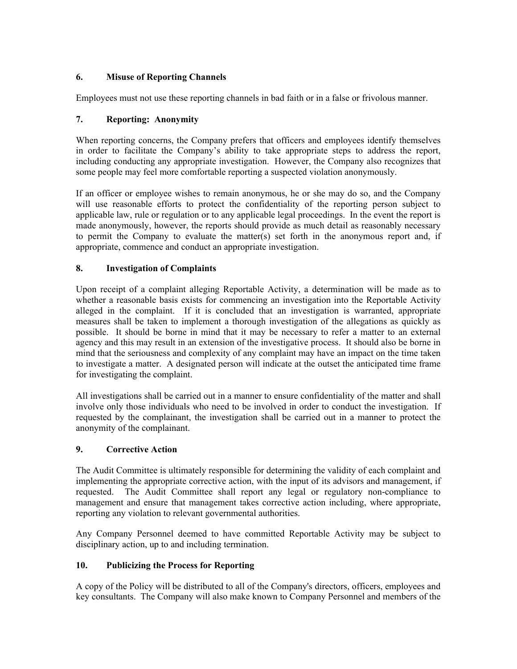# **6. Misuse of Reporting Channels**

Employees must not use these reporting channels in bad faith or in a false or frivolous manner.

# **7. Reporting: Anonymity**

When reporting concerns, the Company prefers that officers and employees identify themselves in order to facilitate the Company's ability to take appropriate steps to address the report, including conducting any appropriate investigation. However, the Company also recognizes that some people may feel more comfortable reporting a suspected violation anonymously.

If an officer or employee wishes to remain anonymous, he or she may do so, and the Company will use reasonable efforts to protect the confidentiality of the reporting person subject to applicable law, rule or regulation or to any applicable legal proceedings. In the event the report is made anonymously, however, the reports should provide as much detail as reasonably necessary to permit the Company to evaluate the matter(s) set forth in the anonymous report and, if appropriate, commence and conduct an appropriate investigation.

### **8. Investigation of Complaints**

Upon receipt of a complaint alleging Reportable Activity, a determination will be made as to whether a reasonable basis exists for commencing an investigation into the Reportable Activity alleged in the complaint. If it is concluded that an investigation is warranted, appropriate measures shall be taken to implement a thorough investigation of the allegations as quickly as possible. It should be borne in mind that it may be necessary to refer a matter to an external agency and this may result in an extension of the investigative process. It should also be borne in mind that the seriousness and complexity of any complaint may have an impact on the time taken to investigate a matter. A designated person will indicate at the outset the anticipated time frame for investigating the complaint.

All investigations shall be carried out in a manner to ensure confidentiality of the matter and shall involve only those individuals who need to be involved in order to conduct the investigation. If requested by the complainant, the investigation shall be carried out in a manner to protect the anonymity of the complainant.

### **9. Corrective Action**

The Audit Committee is ultimately responsible for determining the validity of each complaint and implementing the appropriate corrective action, with the input of its advisors and management, if requested. The Audit Committee shall report any legal or regulatory non-compliance to management and ensure that management takes corrective action including, where appropriate, reporting any violation to relevant governmental authorities.

Any Company Personnel deemed to have committed Reportable Activity may be subject to disciplinary action, up to and including termination.

# **10. Publicizing the Process for Reporting**

A copy of the Policy will be distributed to all of the Company's directors, officers, employees and key consultants. The Company will also make known to Company Personnel and members of the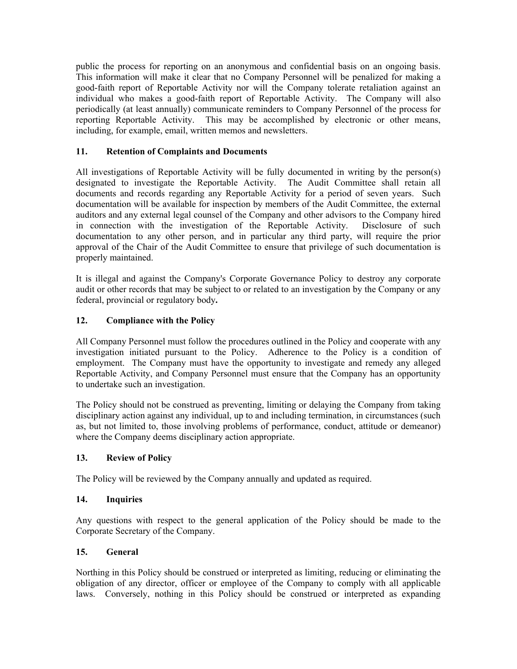public the process for reporting on an anonymous and confidential basis on an ongoing basis. This information will make it clear that no Company Personnel will be penalized for making a good-faith report of Reportable Activity nor will the Company tolerate retaliation against an individual who makes a good-faith report of Reportable Activity. The Company will also periodically (at least annually) communicate reminders to Company Personnel of the process for reporting Reportable Activity. This may be accomplished by electronic or other means, including, for example, email, written memos and newsletters.

# **11. Retention of Complaints and Documents**

All investigations of Reportable Activity will be fully documented in writing by the person(s) designated to investigate the Reportable Activity. The Audit Committee shall retain all documents and records regarding any Reportable Activity for a period of seven years. Such documentation will be available for inspection by members of the Audit Committee, the external auditors and any external legal counsel of the Company and other advisors to the Company hired in connection with the investigation of the Reportable Activity. Disclosure of such documentation to any other person, and in particular any third party, will require the prior approval of the Chair of the Audit Committee to ensure that privilege of such documentation is properly maintained.

It is illegal and against the Company's Corporate Governance Policy to destroy any corporate audit or other records that may be subject to or related to an investigation by the Company or any federal, provincial or regulatory body**.** 

# **12. Compliance with the Policy**

All Company Personnel must follow the procedures outlined in the Policy and cooperate with any investigation initiated pursuant to the Policy. Adherence to the Policy is a condition of employment. The Company must have the opportunity to investigate and remedy any alleged Reportable Activity, and Company Personnel must ensure that the Company has an opportunity to undertake such an investigation.

The Policy should not be construed as preventing, limiting or delaying the Company from taking disciplinary action against any individual, up to and including termination, in circumstances (such as, but not limited to, those involving problems of performance, conduct, attitude or demeanor) where the Company deems disciplinary action appropriate.

### **13. Review of Policy**

The Policy will be reviewed by the Company annually and updated as required.

### **14. Inquiries**

Any questions with respect to the general application of the Policy should be made to the Corporate Secretary of the Company.

### **15. General**

Northing in this Policy should be construed or interpreted as limiting, reducing or eliminating the obligation of any director, officer or employee of the Company to comply with all applicable laws. Conversely, nothing in this Policy should be construed or interpreted as expanding